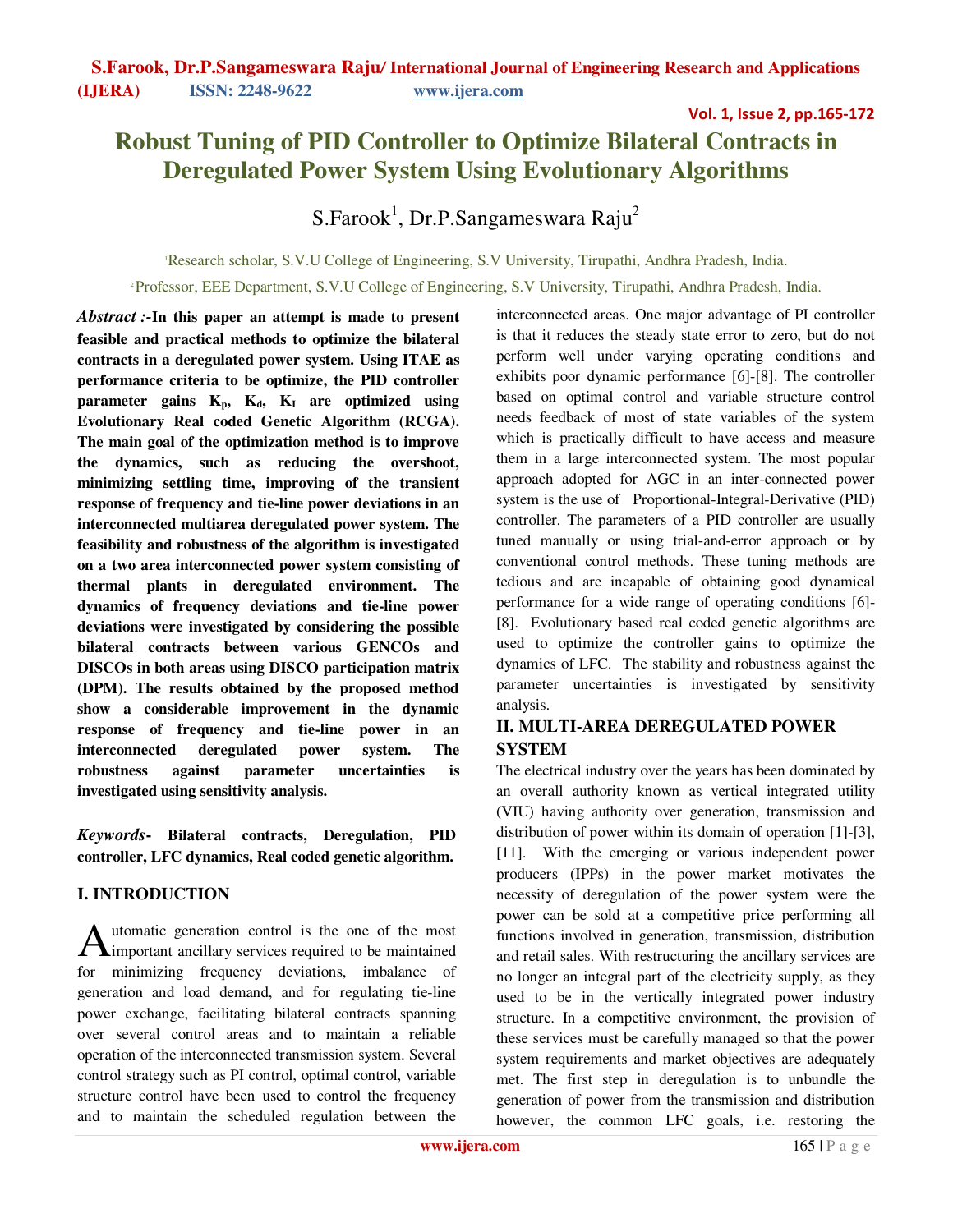## Vol. 1, Issue 2, pp.165-172

# **Robust Tuning of PID Controller to Optimize Bilateral Contracts in Deregulated Power System Using Evolutionary Algorithms**

# S.Farook $^{\rm l}$ , Dr.P.Sangameswara Raju $^{\rm 2}$

<sup>1</sup>Research scholar, S.V.U College of Engineering, S.V University, Tirupathi, Andhra Pradesh, India.

<sup>2</sup>Professor, EEE Department, S.V.U College of Engineering, S.V University, Tirupathi, Andhra Pradesh, India.

*Abstract :-***In this paper an attempt is made to present feasible and practical methods to optimize the bilateral contracts in a deregulated power system. Using ITAE as performance criteria to be optimize, the PID controller**   $\mu$ **parameter gains**  $K_p$ **,**  $K_d$ **,**  $K_I$  **are optimized using Evolutionary Real coded Genetic Algorithm (RCGA). The main goal of the optimization method is to improve the dynamics, such as reducing the overshoot, minimizing settling time, improving of the transient response of frequency and tie-line power deviations in an interconnected multiarea deregulated power system. The feasibility and robustness of the algorithm is investigated on a two area interconnected power system consisting of thermal plants in deregulated environment. The dynamics of frequency deviations and tie-line power deviations were investigated by considering the possible bilateral contracts between various GENCOs and DISCOs in both areas using DISCO participation matrix (DPM). The results obtained by the proposed method show a considerable improvement in the dynamic response of frequency and tie-line power in an interconnected deregulated power system. The robustness against parameter uncertainties is investigated using sensitivity analysis.**

*Keywords***- Bilateral contracts, Deregulation, PID controller, LFC dynamics, Real coded genetic algorithm.**

# **I. INTRODUCTION**

utomatic generation control is the one of the most Automatic generation control is the one of the most<br>
important ancillary services required to be maintained for minimizing frequency deviations, imbalance of generation and load demand, and for regulating tie-line power exchange, facilitating bilateral contracts spanning over several control areas and to maintain a reliable operation of the interconnected transmission system. Several control strategy such as PI control, optimal control, variable structure control have been used to control the frequency and to maintain the scheduled regulation between the

interconnected areas. One major advantage of PI controller is that it reduces the steady state error to zero, but do not perform well under varying operating conditions and exhibits poor dynamic performance [6]-[8]. The controller based on optimal control and variable structure control needs feedback of most of state variables of the system which is practically difficult to have access and measure them in a large interconnected system. The most popular approach adopted for AGC in an inter-connected power system is the use of Proportional-Integral-Derivative (PID) controller. The parameters of a PID controller are usually tuned manually or using trial-and-error approach or by conventional control methods. These tuning methods are tedious and are incapable of obtaining good dynamical performance for a wide range of operating conditions [6]- [8]. Evolutionary based real coded genetic algorithms are used to optimize the controller gains to optimize the dynamics of LFC. The stability and robustness against the parameter uncertainties is investigated by sensitivity analysis.

# **II. MULTI-AREA DEREGULATED POWER SYSTEM**

The electrical industry over the years has been dominated by an overall authority known as vertical integrated utility (VIU) having authority over generation, transmission and distribution of power within its domain of operation [1]-[3], [11]. With the emerging or various independent power producers (IPPs) in the power market motivates the necessity of deregulation of the power system were the power can be sold at a competitive price performing all functions involved in generation, transmission, distribution and retail sales. With restructuring the ancillary services are no longer an integral part of the electricity supply, as they used to be in the vertically integrated power industry structure. In a competitive environment, the provision of these services must be carefully managed so that the power system requirements and market objectives are adequately met. The first step in deregulation is to unbundle the generation of power from the transmission and distribution however, the common LFC goals, *i.e.* restoring the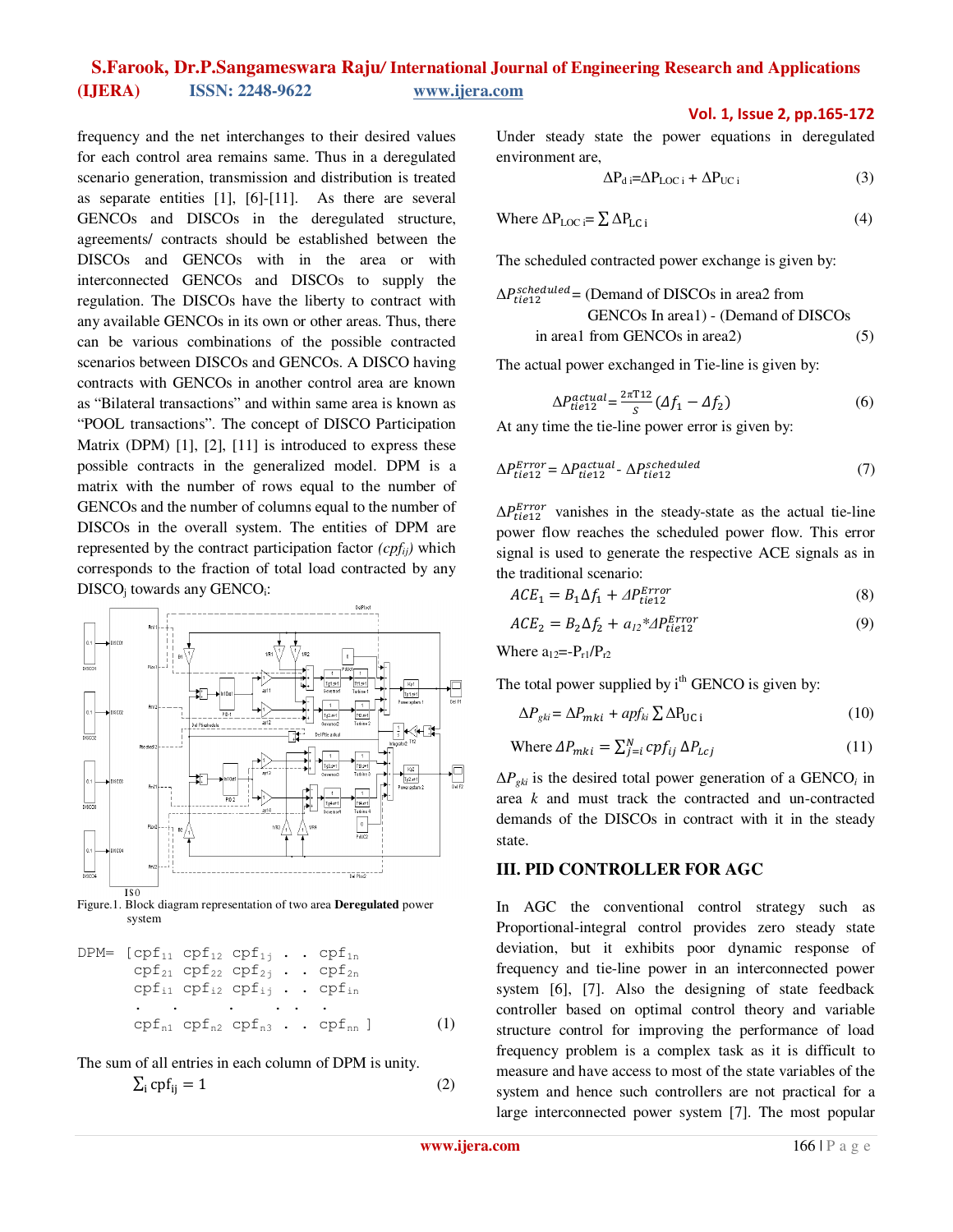frequency and the net interchanges to their desired values for each control area remains same. Thus in a deregulated scenario generation, transmission and distribution is treated as separate entities [1], [6]-[11]. As there are several GENCOs and DISCOs in the deregulated structure, agreements/ contracts should be established between the DISCOs and GENCOs with in the area or with interconnected GENCOs and DISCOs to supply the regulation. The DISCOs have the liberty to contract with any available GENCOs in its own or other areas. Thus, there can be various combinations of the possible contracted scenarios between DISCOs and GENCOs. A DISCO having contracts with GENCOs in another control area are known as "Bilateral transactions" and within same area is known as "POOL transactions". The concept of DISCO Participation Matrix (DPM) [1], [2], [11] is introduced to express these possible contracts in the generalized model. DPM is a matrix with the number of rows equal to the number of GENCOs and the number of columns equal to the number of DISCOs in the overall system. The entities of DPM are represented by the contract participation factor *(cpfij)* which corresponds to the fraction of total load contracted by any DISCO<sub>j</sub> towards any GENCO<sub>i</sub>:



Figure.1. Block diagram representation of two area **Deregulated** power system

$$
DPM = [cpf11 cpf12 cpf1j ... cpf1n cpf21 cpf22 cpf2j ... cpf2n cpf11 cpf12 cpf1j ... cpfin \n... ... ...
$$
\n
$$
cpfn1 cpfn2 cpfn3 ... cpfnn ] (1)
$$

The sum of all entries in each column of DPM is unity.

$$
\sum_{i} cpf_{ij} = 1 \tag{2}
$$

Vol. 1, Issue 2, pp.165-172

Under steady state the power equations in deregulated environment are,

$$
\Delta P_{\rm d} = \Delta P_{\rm LOC\,i} + \Delta P_{\rm UC\,i} \tag{3}
$$

Where 
$$
\Delta P_{LOC} = \sum \Delta P_{LC i}
$$
 (4)

The scheduled contracted power exchange is given by:

$$
\Delta P_{tie12}^{scheduled} = (Demand of DISCOs in area2 from\nGENCOs In area1) - (Demand of DISCOs\nin area1 from GENCOs in area2) (5)
$$

The actual power exchanged in Tie-line is given by:

$$
\Delta P_{tie12}^{actual} = \frac{2\pi T 12}{S} \left( \Delta f_1 - \Delta f_2 \right) \tag{6}
$$

At any time the tie-line power error is given by:

$$
\Delta P_{tie12}^{Error} = \Delta P_{tie12}^{actual} - \Delta P_{tie12}^{scheduled} \tag{7}
$$

 $\Delta P_{tie12}^{Error}$  vanishes in the steady-state as the actual tie-line power flow reaches the scheduled power flow. This error signal is used to generate the respective ACE signals as in the traditional scenario:

$$
ACE1 = B1 \Delta f1 + \Delta P_{tie12}^{Error}
$$
 (8)

$$
ACE2 = B2 \Delta f2 + a12 * 4 Ptie12Error
$$
 (9)

Where  $a_{12}=-P_{r1}/P_{r2}$ 

The total power supplied by  $i<sup>th</sup>$  GENCO is given by:

$$
\Delta P_{gki} = \Delta P_{mki} + apf_{ki} \sum \Delta P_{UC\ i} \tag{10}
$$

Where 
$$
\Delta P_{mki} = \sum_{j=i}^{N} cp f_{ij} \Delta P_{Lcj}
$$
 (11)

 $\Delta P_{gki}$  is the desired total power generation of a GENCO<sub>*i*</sub> in area *k* and must track the contracted and un-contracted demands of the DISCOs in contract with it in the steady state.

### **III. PID CONTROLLER FOR AGC**

In AGC the conventional control strategy such as Proportional-integral control provides zero steady state deviation, but it exhibits poor dynamic response of frequency and tie-line power in an interconnected power system [6], [7]. Also the designing of state feedback controller based on optimal control theory and variable structure control for improving the performance of load frequency problem is a complex task as it is difficult to measure and have access to most of the state variables of the system and hence such controllers are not practical for a large interconnected power system [7]. The most popular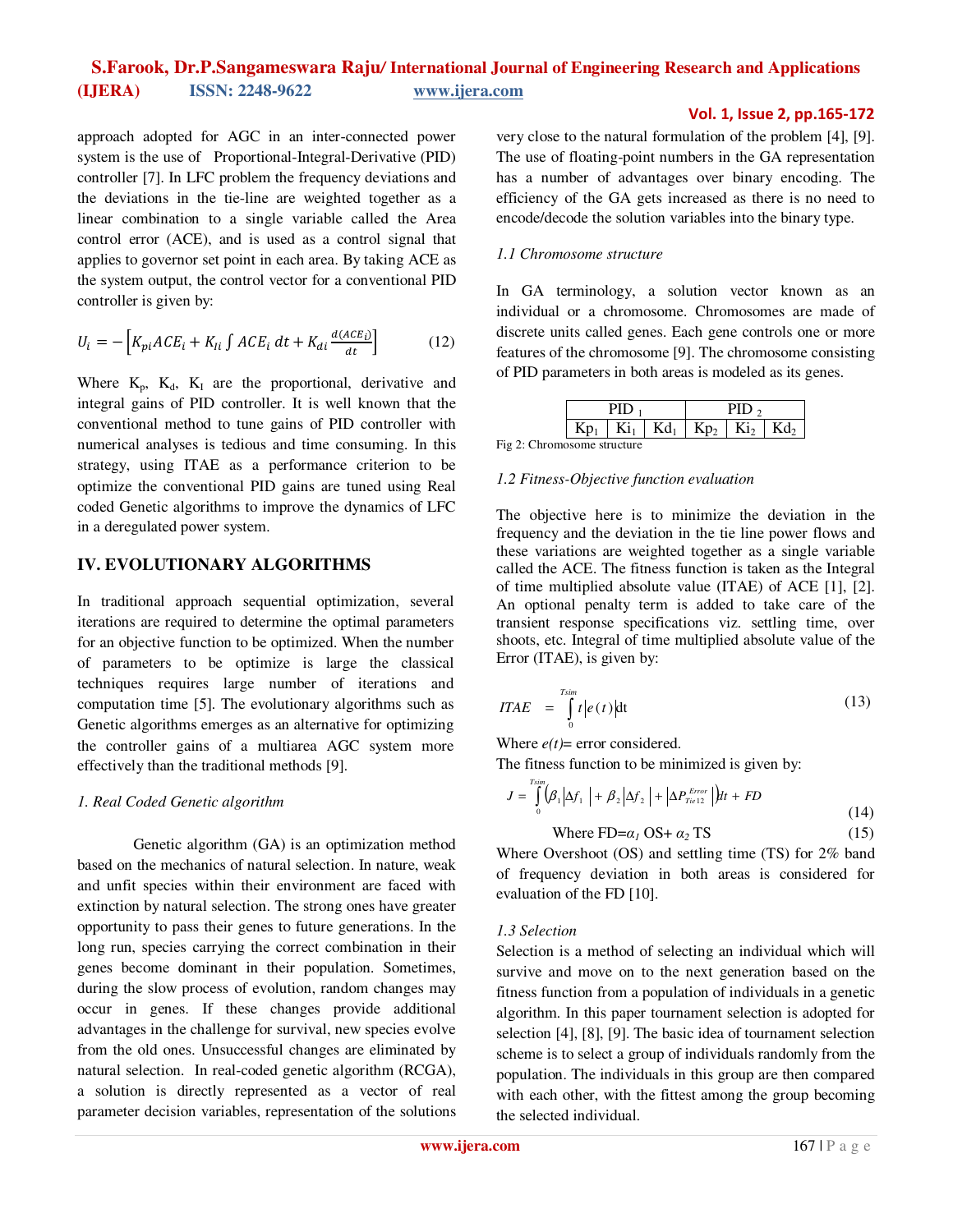approach adopted for AGC in an inter-connected power system is the use of Proportional-Integral-Derivative (PID) controller [7]. In LFC problem the frequency deviations and the deviations in the tie-line are weighted together as a linear combination to a single variable called the Area control error (ACE), and is used as a control signal that applies to governor set point in each area. By taking ACE as the system output, the control vector for a conventional PID controller is given by:

$$
U_i = -\left[K_{pi}ACE_i + K_{li}\int ACE_i dt + K_{di}\frac{d(ACE_i)}{dt}\right]
$$
 (12)

Where  $K_p$ ,  $K_d$ ,  $K_l$  are the proportional, derivative and integral gains of PID controller. It is well known that the conventional method to tune gains of PID controller with numerical analyses is tedious and time consuming. In this strategy, using ITAE as a performance criterion to be optimize the conventional PID gains are tuned using Real coded Genetic algorithms to improve the dynamics of LFC in a deregulated power system.

## **IV. EVOLUTIONARY ALGORITHMS**

In traditional approach sequential optimization, several iterations are required to determine the optimal parameters for an objective function to be optimized. When the number of parameters to be optimize is large the classical techniques requires large number of iterations and computation time [5]. The evolutionary algorithms such as Genetic algorithms emerges as an alternative for optimizing the controller gains of a multiarea AGC system more effectively than the traditional methods [9].

#### *1. Real Coded Genetic algorithm*

Genetic algorithm (GA) is an optimization method based on the mechanics of natural selection. In nature, weak and unfit species within their environment are faced with extinction by natural selection. The strong ones have greater opportunity to pass their genes to future generations. In the long run, species carrying the correct combination in their genes become dominant in their population. Sometimes, during the slow process of evolution, random changes may occur in genes. If these changes provide additional advantages in the challenge for survival, new species evolve from the old ones. Unsuccessful changes are eliminated by natural selection. In real-coded genetic algorithm (RCGA), a solution is directly represented as a vector of real parameter decision variables, representation of the solutions very close to the natural formulation of the problem [4], [9]. The use of floating-point numbers in the GA representation has a number of advantages over binary encoding. The efficiency of the GA gets increased as there is no need to encode/decode the solution variables into the binary type.

Vol. 1, Issue 2, pp.165-172

#### *1.1 Chromosome structure*

In GA terminology, a solution vector known as an individual or a chromosome. Chromosomes are made of discrete units called genes. Each gene controls one or more features of the chromosome [9]. The chromosome consisting of PID parameters in both areas is modeled as its genes.

|   | Kiı | Kdı | $n_{\rm o}$<br>к | $\mathrm{Ki}_2$ | ٢d, |
|---|-----|-----|------------------|-----------------|-----|
| . |     |     |                  |                 |     |

Fig 2: Chromosome structure

#### *1.2 Fitness-Objective function evaluation*

The objective here is to minimize the deviation in the frequency and the deviation in the tie line power flows and these variations are weighted together as a single variable called the ACE. The fitness function is taken as the Integral of time multiplied absolute value (ITAE) of ACE [1], [2]. An optional penalty term is added to take care of the transient response specifications viz. settling time, over shoots, etc. Integral of time multiplied absolute value of the Error (ITAE), is given by:

$$
ITAE = \int_{0}^{T \sin t} |e(t)| dt
$$
 (13)

Where  $e(t)$ = error considered.

The fitness function to be minimized is given by:

$$
J = \int_{0}^{T \sin} \left( \beta_1 \left| \Delta f_1 \right| + \beta_2 \left| \Delta f_2 \right| + \left| \Delta P_{Tie12}^{Error} \right| \right) dt + FD
$$
\n(14)

Where FD=
$$
\alpha_1
$$
OS+ $\alpha_2$ TS (15)

Where Overshoot (OS) and settling time (TS) for 2% band of frequency deviation in both areas is considered for evaluation of the FD [10].

#### *1.3 Selection*

Selection is a method of selecting an individual which will survive and move on to the next generation based on the fitness function from a population of individuals in a genetic algorithm. In this paper tournament selection is adopted for selection [4], [8], [9]. The basic idea of tournament selection scheme is to select a group of individuals randomly from the population. The individuals in this group are then compared with each other, with the fittest among the group becoming the selected individual.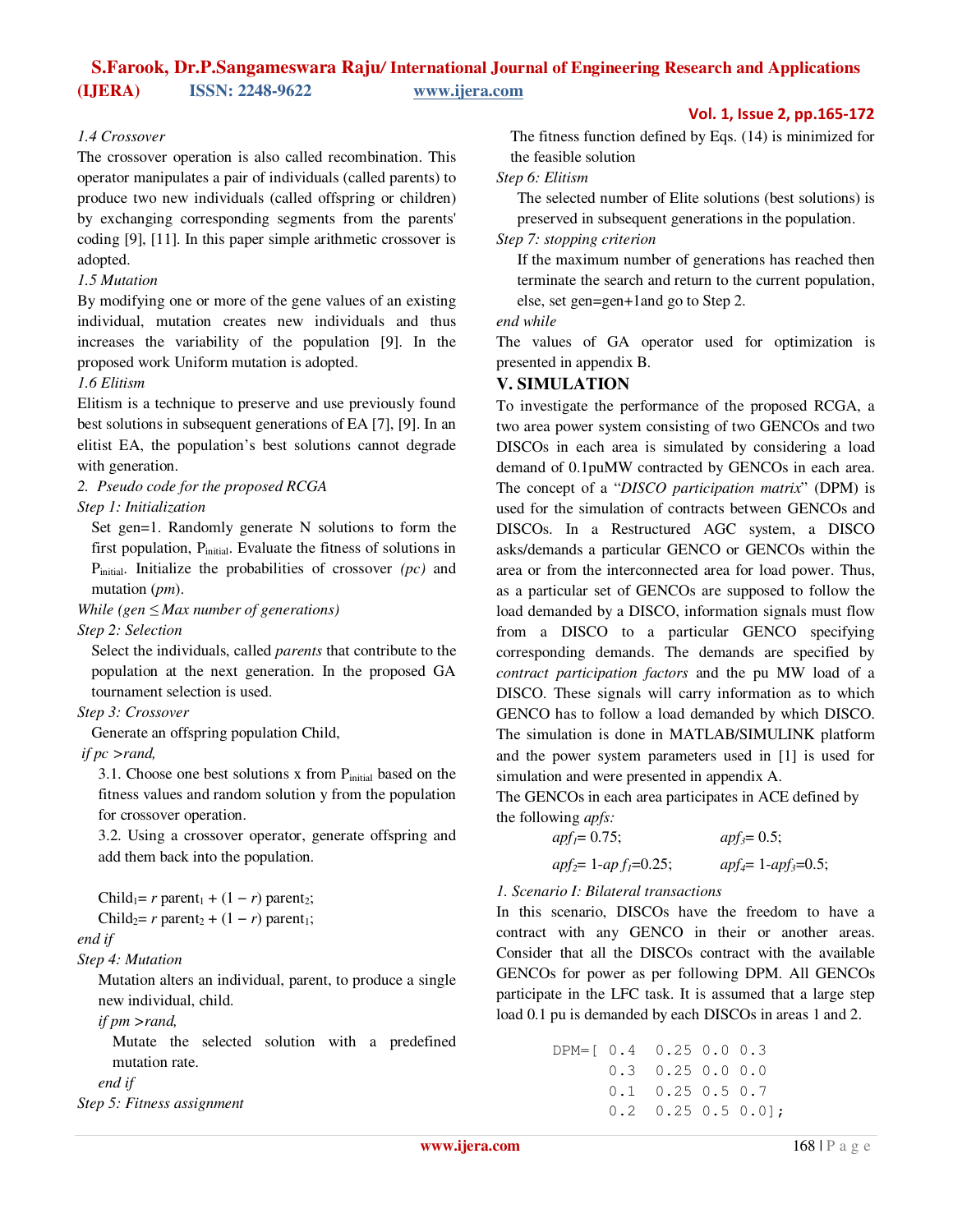#### *1.4 Crossover*

The crossover operation is also called recombination. This operator manipulates a pair of individuals (called parents) to produce two new individuals (called offspring or children) by exchanging corresponding segments from the parents' coding [9], [11]. In this paper simple arithmetic crossover is adopted.

#### *1.5 Mutation*

By modifying one or more of the gene values of an existing individual, mutation creates new individuals and thus increases the variability of the population [9]. In the proposed work Uniform mutation is adopted.

#### *1.6 Elitism*

Elitism is a technique to preserve and use previously found best solutions in subsequent generations of EA [7], [9]. In an elitist EA, the population's best solutions cannot degrade with generation.

*2. Pseudo code for the proposed RCGA* 

#### *Step 1: Initialization*

Set gen=1. Randomly generate N solutions to form the first population,  $P_{initial}$ . Evaluate the fitness of solutions in Pinitial. Initialize the probabilities of crossover *(pc)* and mutation (*pm*).

*While (gen* ≤ *Max number of generations)* 

*Step 2: Selection* 

Select the individuals, called *parents* that contribute to the population at the next generation. In the proposed GA tournament selection is used.

*Step 3: Crossover* 

Generate an offspring population Child,

#### *if pc >rand,*

3.1. Choose one best solutions x from  $P<sub>initial</sub>$  based on the fitness values and random solution y from the population for crossover operation.

3.2. Using a crossover operator, generate offspring and add them back into the population.

| Child <sub>1</sub> = r parent <sub>1</sub> + $(1 - r)$ parent <sub>2</sub> ;   |
|--------------------------------------------------------------------------------|
| Child <sub>2</sub> = $r$ parent <sub>2</sub> + $(1 - r)$ parent <sub>1</sub> ; |
| end if                                                                         |
| Step 4: Mutation                                                               |

Mutation alters an individual, parent, to produce a single new individual, child.

*if pm >rand,* 

Mutate the selected solution with a predefined mutation rate.

*end if* 

```
Step 5: Fitness assignment
```
#### Vol. 1, Issue 2, pp.165-172

The fitness function defined by Eqs. (14) is minimized for the feasible solution

#### *Step 6: Elitism*

The selected number of Elite solutions (best solutions) is preserved in subsequent generations in the population.

*Step 7: stopping criterion* 

If the maximum number of generations has reached then terminate the search and return to the current population, else, set gen=gen+1and go to Step 2.

#### *end while*

The values of GA operator used for optimization is presented in appendix B.

#### **V. SIMULATION**

To investigate the performance of the proposed RCGA, a two area power system consisting of two GENCOs and two DISCOs in each area is simulated by considering a load demand of 0.1puMW contracted by GENCOs in each area. The concept of a "*DISCO participation matrix*" (DPM) is used for the simulation of contracts between GENCOs and DISCOs. In a Restructured AGC system, a DISCO asks/demands a particular GENCO or GENCOs within the area or from the interconnected area for load power. Thus, as a particular set of GENCOs are supposed to follow the load demanded by a DISCO, information signals must flow from a DISCO to a particular GENCO specifying corresponding demands. The demands are specified by *contract participation factors* and the pu MW load of a DISCO. These signals will carry information as to which GENCO has to follow a load demanded by which DISCO. The simulation is done in MATLAB/SIMULINK platform and the power system parameters used in [1] is used for simulation and were presented in appendix A.

The GENCOs in each area participates in ACE defined by the following *apfs:*

| $apf_1 = 0.75;$         | $apf_3 = 0.5;$             |
|-------------------------|----------------------------|
| $apf_2 = 1-apf_1=0.25;$ | $apf_4 = 1 - apf_3 = 0.5;$ |

#### *1. Scenario I: Bilateral transactions*

In this scenario, DISCOs have the freedom to have a contract with any GENCO in their or another areas. Consider that all the DISCOs contract with the available GENCOs for power as per following DPM. All GENCOs participate in the LFC task. It is assumed that a large step load 0.1 pu is demanded by each DISCOs in areas 1 and 2.

```
DPM=[ 0.4 0.25 0.0 0.3
       0.3 0.25 0.0 0.0
       0.1 0.25 0.5 0.7
      0.2 0.25 0.5 0.0];
```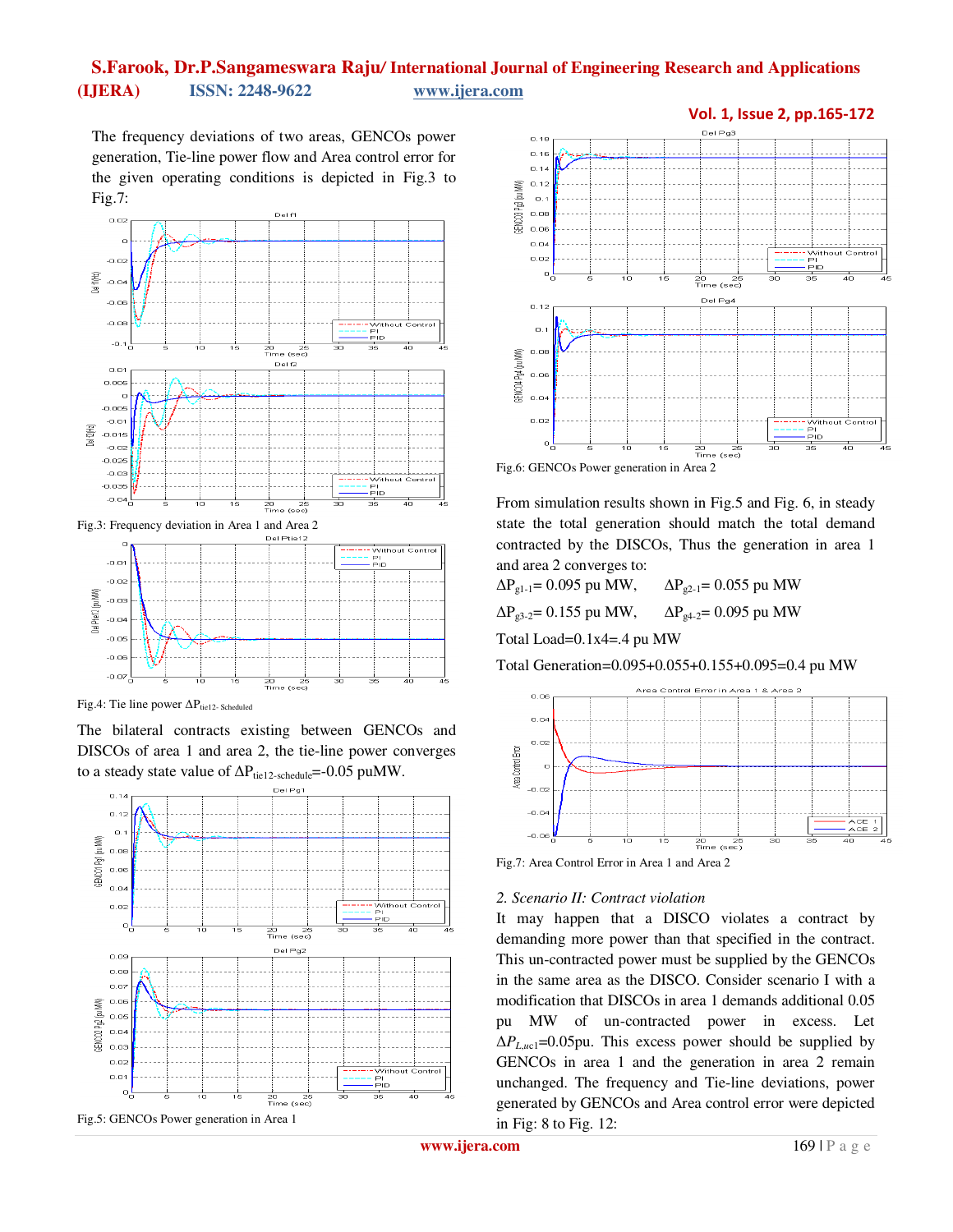The frequency deviations of two areas, GENCOs power generation, Tie-line power flow and Area control error for the given operating conditions is depicted in Fig.3 to Fig.7:



Fig.3: Frequency deviation in Area 1 and Area 2



Fig.4: Tie line power  $\Delta P_{\text{tid 12- Scheduled}}$ 

The bilateral contracts existing between GENCOs and DISCOs of area 1 and area 2, the tie-line power converges to a steady state value of  $\Delta P_{\text{tie}12\text{-schedule}}$  =-0.05 puMW.







From simulation results shown in Fig.5 and Fig. 6, in steady state the total generation should match the total demand contracted by the DISCOs, Thus the generation in area 1 and area 2 converges to:

 $ΔP<sub>g1-1</sub> = 0.095 pu MW,  $ΔP<sub>g2-1</sub> = 0.055 pu MW$$ 

 $\Delta P_{g3-2}$ = 0.155 pu MW,  $\Delta P_{g4-2}$ = 0.095 pu MW

Total Load=0.1x4=.4 pu MW

Total Generation=0.095+0.055+0.155+0.095=0.4 pu MW



Fig.7: Area Control Error in Area 1 and Area 2

#### *2. Scenario II: Contract violation*

It may happen that a DISCO violates a contract by demanding more power than that specified in the contract. This un-contracted power must be supplied by the GENCOs in the same area as the DISCO. Consider scenario I with a modification that DISCOs in area 1 demands additional 0.05 pu MW of un-contracted power in excess. Let  $\Delta P_{\text{L},uc1}$ =0.05pu. This excess power should be supplied by GENCOs in area 1 and the generation in area 2 remain unchanged. The frequency and Tie-line deviations, power generated by GENCOs and Area control error were depicted in Fig: 8 to Fig. 12:

**www.ijera.com** 169 | P a g e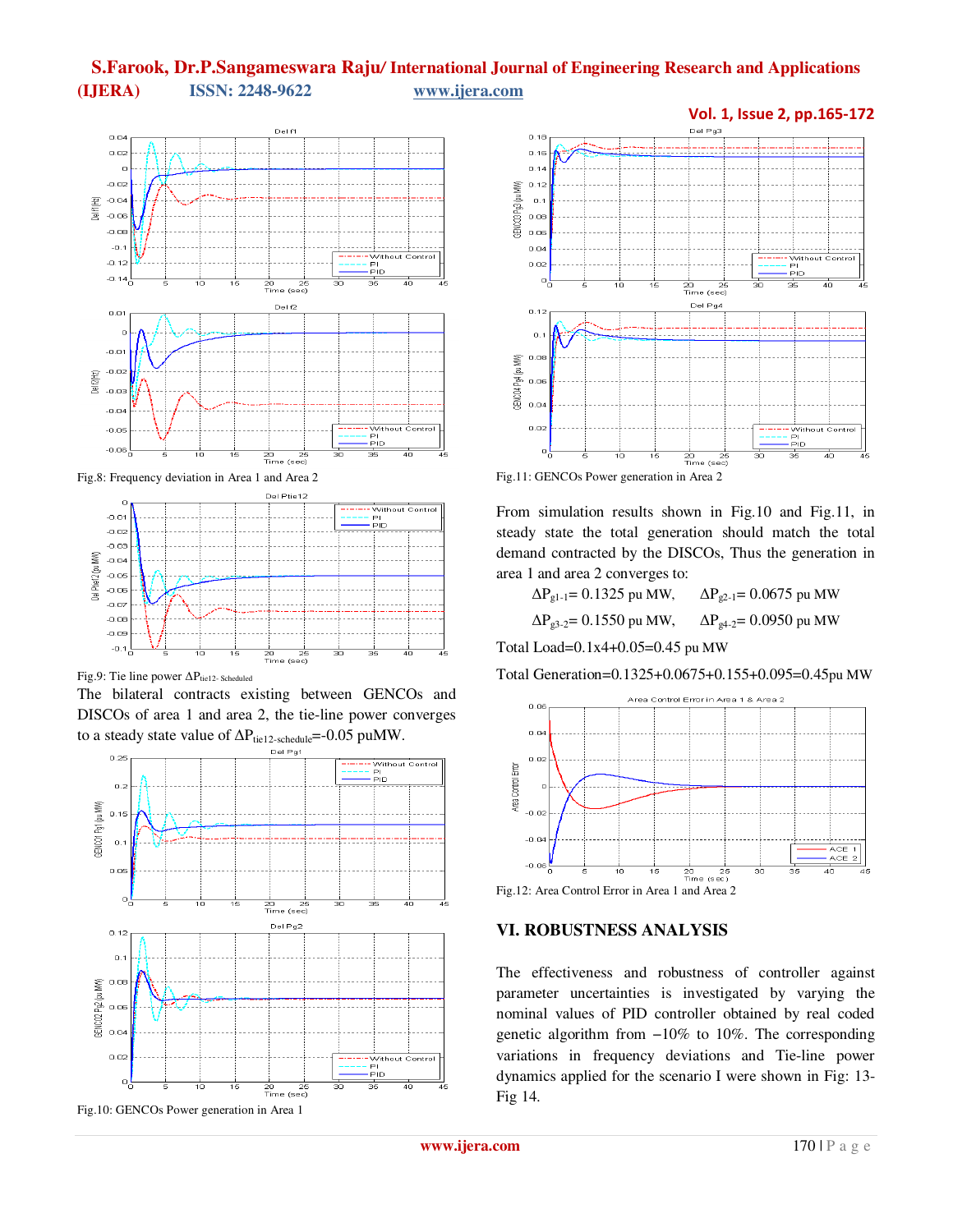

Fig.8: Frequency deviation in Area 1 and Area 2



Fig.9: Tie line power ∆P<sub>tie12- Scheduled</sub>

The bilateral contracts existing between GENCOs and DISCOs of area 1 and area 2, the tie-line power converges to a steady state value of  $\Delta P_{\text{tie}12\text{-schedule}}$  =-0.05 puMW.



Fig.10: GENCOs Power generation in Area 1



From simulation results shown in Fig.10 and Fig.11, in steady state the total generation should match the total demand contracted by the DISCOs, Thus the generation in area 1 and area 2 converges to:

| $\Delta P_{\text{gl-1}} = 0.1325$ pu MW, | $\Delta P_{\text{g2-1}} = 0.0675$ pu MW |
|------------------------------------------|-----------------------------------------|
| $\Delta P_{g3-2}$ = 0.1550 pu MW,        | $\Delta P_{g4-2}$ = 0.0950 pu MW        |

Total Load=0.1x4+0.05=0.45 pu MW

Total Generation=0.1325+0.0675+0.155+0.095=0.45pu MW





#### **VI. ROBUSTNESS ANALYSIS**

The effectiveness and robustness of controller against parameter uncertainties is investigated by varying the nominal values of PID controller obtained by real coded genetic algorithm from −10% to 10%. The corresponding variations in frequency deviations and Tie-line power dynamics applied for the scenario I were shown in Fig: 13- Fig 14.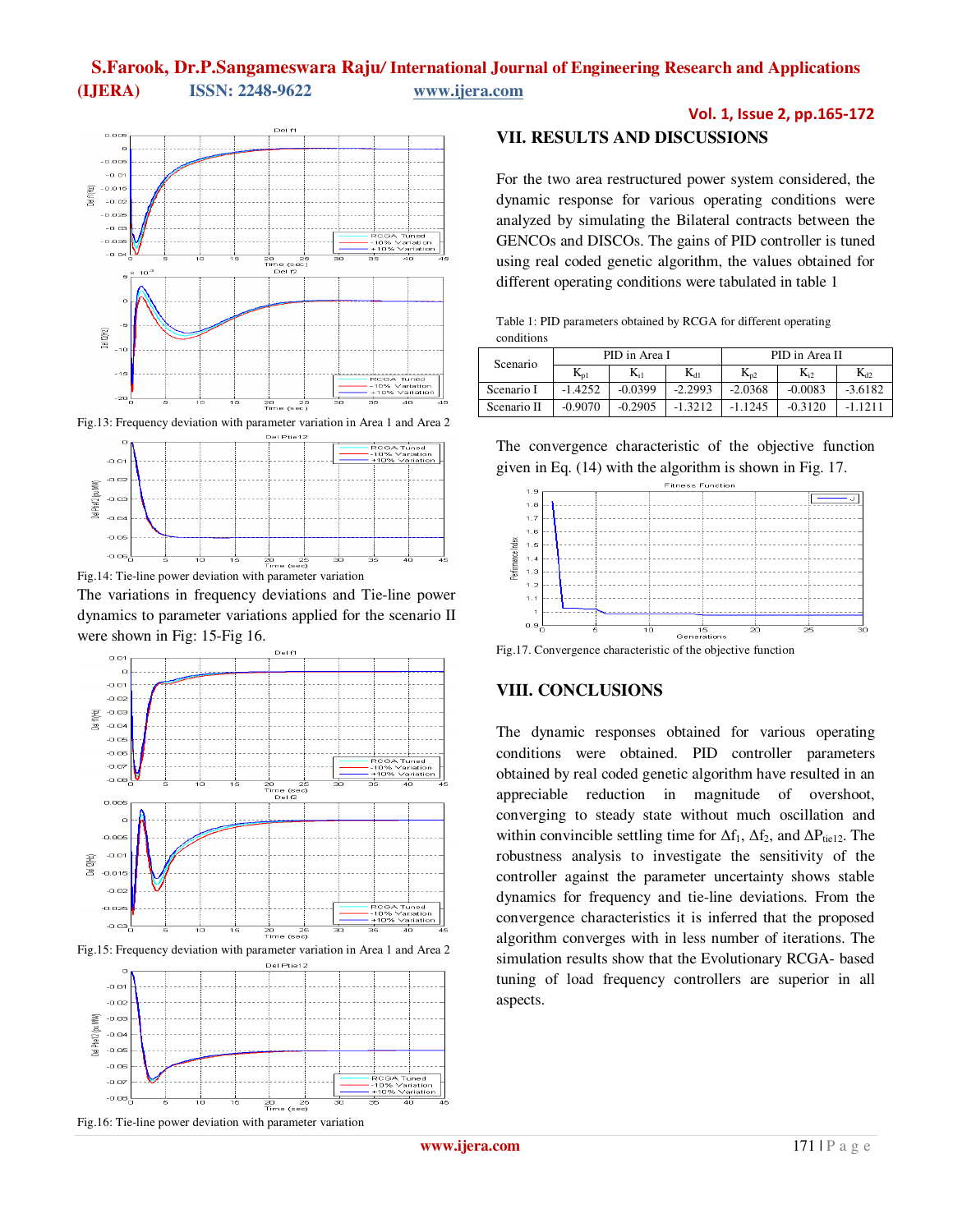

Fig.13: Frequency deviation with parameter variation in Area 1 and Area 2



Fig.14: Tie-line power deviation with parameter variation

The variations in frequency deviations and Tie-line power dynamics to parameter variations applied for the scenario II were shown in Fig: 15-Fig 16.



Fig.15: Frequency deviation with parameter variation in Area 1 and Area 2



Vol. 1, Issue 2, pp.165-172

## **VII. RESULTS AND DISCUSSIONS**

For the two area restructured power system considered, the dynamic response for various operating conditions were analyzed by simulating the Bilateral contracts between the GENCOs and DISCOs. The gains of PID controller is tuned using real coded genetic algorithm, the values obtained for different operating conditions were tabulated in table 1

| Table 1: PID parameters obtained by RCGA for different operating |  |  |
|------------------------------------------------------------------|--|--|
| conditions                                                       |  |  |

| Scenario    | PID in Area I |           |           | PID in Area II |           |           |
|-------------|---------------|-----------|-----------|----------------|-----------|-----------|
|             | $K_{p1}$      | $K_{i1}$  | $K_{d1}$  | $K_{p2}$       | $K_{i2}$  | $K_{d2}$  |
| Scenario I  | $-1.4252$     | $-0.0399$ | $-2.2993$ | $-2.0368$      | $-0.0083$ | $-3.6182$ |
| Scenario II | $-0.9070$     | $-0.2905$ | $-1.3212$ | $-1.1245$      | $-0.3120$ |           |

The convergence characteristic of the objective function given in Eq. (14) with the algorithm is shown in Fig. 17.



Fig.17. Convergence characteristic of the objective function

### **VIII. CONCLUSIONS**

The dynamic responses obtained for various operating conditions were obtained. PID controller parameters obtained by real coded genetic algorithm have resulted in an appreciable reduction in magnitude of overshoot, converging to steady state without much oscillation and within convincible settling time for  $\Delta f_1$ ,  $\Delta f_2$ , and  $\Delta P_{\text{tie}12}$ . The robustness analysis to investigate the sensitivity of the controller against the parameter uncertainty shows stable dynamics for frequency and tie-line deviations. From the convergence characteristics it is inferred that the proposed algorithm converges with in less number of iterations. The simulation results show that the Evolutionary RCGA- based tuning of load frequency controllers are superior in all aspects.

Fig.16: Tie-line power deviation with parameter variation